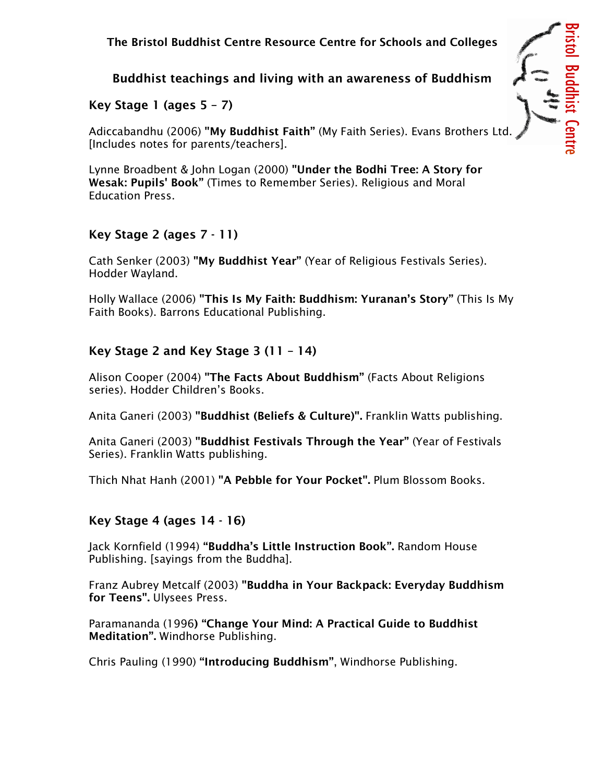#### The Bristol Buddhist Centre Resource Centre for Schools and Colleges

# Buddhist teachings and living with an awareness of Buddhism

Bristol Buddhist Centre

# Key Stage 1 (ages  $5 - 7$ )

Adiccabandhu (2006) "My Buddhist Faith" (My Faith Series). Evans Brothers Ltd. [Includes notes for parents/teachers].

Lynne Broadbent & John Logan (2000) "Under the Bodhi Tree: A Story for Wesak: Pupils' Book" (Times to Remember Series). Religious and Moral Education Press.

### Key Stage 2 (ages 7 - 11)

Cath Senker (2003) "My Buddhist Year" (Year of Religious Festivals Series). Hodder Wayland.

Holly Wallace (2006) "This Is My Faith: Buddhism: Yuranan's Story" (This Is My Faith Books). Barrons Educational Publishing.

### Key Stage 2 and Key Stage 3 (11 – 14)

Alison Cooper (2004) "The Facts About Buddhism" (Facts About Religions series). Hodder Children's Books.

Anita Ganeri (2003) "Buddhist (Beliefs & Culture)". Franklin Watts publishing.

Anita Ganeri (2003) "Buddhist Festivals Through the Year" (Year of Festivals Series). Franklin Watts publishing.

Thich Nhat Hanh (2001) "A Pebble for Your Pocket". Plum Blossom Books.

### Key Stage 4 (ages 14 - 16)

Jack Kornfield (1994) "Buddha's Little Instruction Book". Random House Publishing. [sayings from the Buddha].

Franz Aubrey Metcalf (2003) "Buddha in Your Backpack: Everyday Buddhism for Teens". Ulysees Press.

Paramananda (1996) "Change Your Mind: A Practical Guide to Buddhist Meditation". Windhorse Publishing.

Chris Pauling (1990) "Introducing Buddhism", Windhorse Publishing.